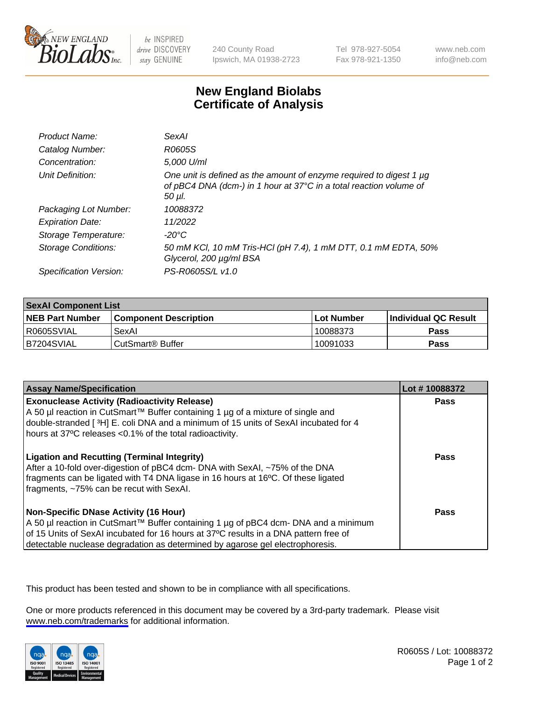

be INSPIRED drive DISCOVERY stay GENUINE

240 County Road Ipswich, MA 01938-2723 Tel 978-927-5054 Fax 978-921-1350

www.neb.com info@neb.com

## **New England Biolabs Certificate of Analysis**

| Product Name:           | <b>SexAl</b>                                                                                                                                        |
|-------------------------|-----------------------------------------------------------------------------------------------------------------------------------------------------|
| Catalog Number:         | R0605S                                                                                                                                              |
| Concentration:          | 5,000 U/ml                                                                                                                                          |
| Unit Definition:        | One unit is defined as the amount of enzyme required to digest 1 µg<br>of pBC4 DNA (dcm-) in 1 hour at 37°C in a total reaction volume of<br>50 µl. |
| Packaging Lot Number:   | 10088372                                                                                                                                            |
| <b>Expiration Date:</b> | 11/2022                                                                                                                                             |
| Storage Temperature:    | -20°C                                                                                                                                               |
| Storage Conditions:     | 50 mM KCl, 10 mM Tris-HCl (pH 7.4), 1 mM DTT, 0.1 mM EDTA, 50%<br>Glycerol, 200 µg/ml BSA                                                           |
| Specification Version:  | PS-R0605S/L v1.0                                                                                                                                    |

| <b>SexAl Component List</b> |                              |             |                       |  |
|-----------------------------|------------------------------|-------------|-----------------------|--|
| <b>NEB Part Number</b>      | <b>Component Description</b> | ⊺Lot Number | ∣Individual QC Result |  |
| R0605SVIAL                  | SexAl                        | 10088373    | <b>Pass</b>           |  |
| IB7204SVIAL                 | l CutSmart® Buffer           | 10091033    | <b>Pass</b>           |  |

| <b>Assay Name/Specification</b>                                                                                                                                                                                                                                                                         | Lot #10088372 |
|---------------------------------------------------------------------------------------------------------------------------------------------------------------------------------------------------------------------------------------------------------------------------------------------------------|---------------|
| <b>Exonuclease Activity (Radioactivity Release)</b><br>A 50 µl reaction in CutSmart™ Buffer containing 1 µg of a mixture of single and<br>double-stranded [3H] E. coli DNA and a minimum of 15 units of SexAI incubated for 4<br>hours at 37°C releases <0.1% of the total radioactivity.               | Pass          |
| <b>Ligation and Recutting (Terminal Integrity)</b><br>After a 10-fold over-digestion of pBC4 dcm- DNA with SexAI, ~75% of the DNA<br>fragments can be ligated with T4 DNA ligase in 16 hours at 16°C. Of these ligated<br>fragments, ~75% can be recut with SexAI.                                      | Pass          |
| Non-Specific DNase Activity (16 Hour)<br>  A 50 µl reaction in CutSmart™ Buffer containing 1 µg of pBC4 dcm- DNA and a minimum<br>of 15 Units of SexAI incubated for 16 hours at 37°C results in a DNA pattern free of<br>detectable nuclease degradation as determined by agarose gel electrophoresis. | Pass          |

This product has been tested and shown to be in compliance with all specifications.

One or more products referenced in this document may be covered by a 3rd-party trademark. Please visit <www.neb.com/trademarks>for additional information.